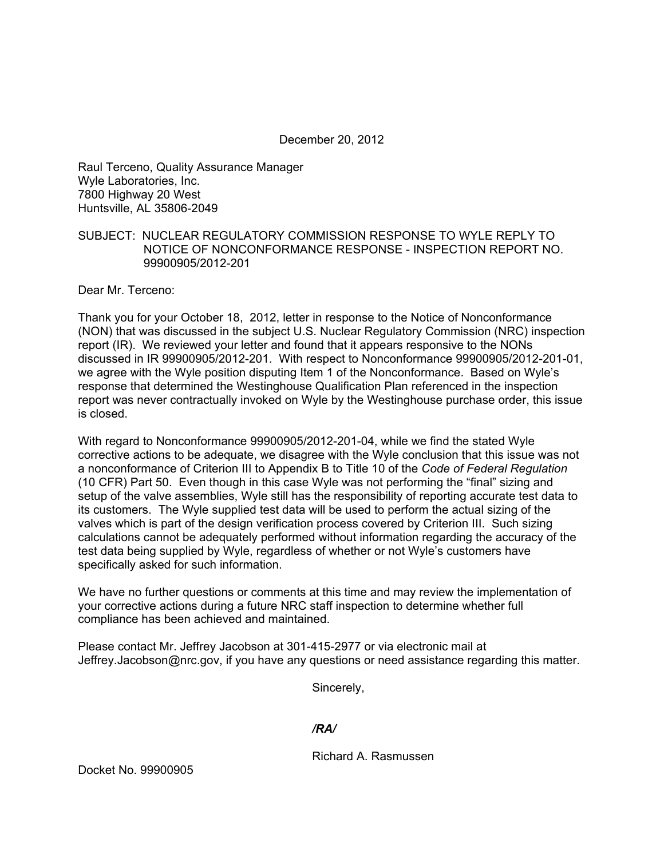December 20, 2012

Raul Terceno, Quality Assurance Manager Wyle Laboratories, Inc. 7800 Highway 20 West Huntsville, AL 35806-2049

## SUBJECT: NUCLEAR REGULATORY COMMISSION RESPONSE TO WYLE REPLY TO NOTICE OF NONCONFORMANCE RESPONSE - INSPECTION REPORT NO. 99900905/2012-201

Dear Mr. Terceno:

Thank you for your October 18, 2012, letter in response to the Notice of Nonconformance (NON) that was discussed in the subject U.S. Nuclear Regulatory Commission (NRC) inspection report (IR). We reviewed your letter and found that it appears responsive to the NONs discussed in IR 99900905/2012-201. With respect to Nonconformance 99900905/2012-201-01, we agree with the Wyle position disputing Item 1 of the Nonconformance. Based on Wyle's response that determined the Westinghouse Qualification Plan referenced in the inspection report was never contractually invoked on Wyle by the Westinghouse purchase order, this issue is closed.

With regard to Nonconformance 99900905/2012-201-04, while we find the stated Wyle corrective actions to be adequate, we disagree with the Wyle conclusion that this issue was not a nonconformance of Criterion III to Appendix B to Title 10 of the *Code of Federal Regulation* (10 CFR) Part 50. Even though in this case Wyle was not performing the "final" sizing and setup of the valve assemblies, Wyle still has the responsibility of reporting accurate test data to its customers. The Wyle supplied test data will be used to perform the actual sizing of the valves which is part of the design verification process covered by Criterion III. Such sizing calculations cannot be adequately performed without information regarding the accuracy of the test data being supplied by Wyle, regardless of whether or not Wyle's customers have specifically asked for such information.

We have no further questions or comments at this time and may review the implementation of your corrective actions during a future NRC staff inspection to determine whether full compliance has been achieved and maintained.

Please contact Mr. Jeffrey Jacobson at 301-415-2977 or via electronic mail at Jeffrey.Jacobson@nrc.gov, if you have any questions or need assistance regarding this matter.

Sincerely,

## */RA/*

Richard A. Rasmussen

Docket No. 99900905